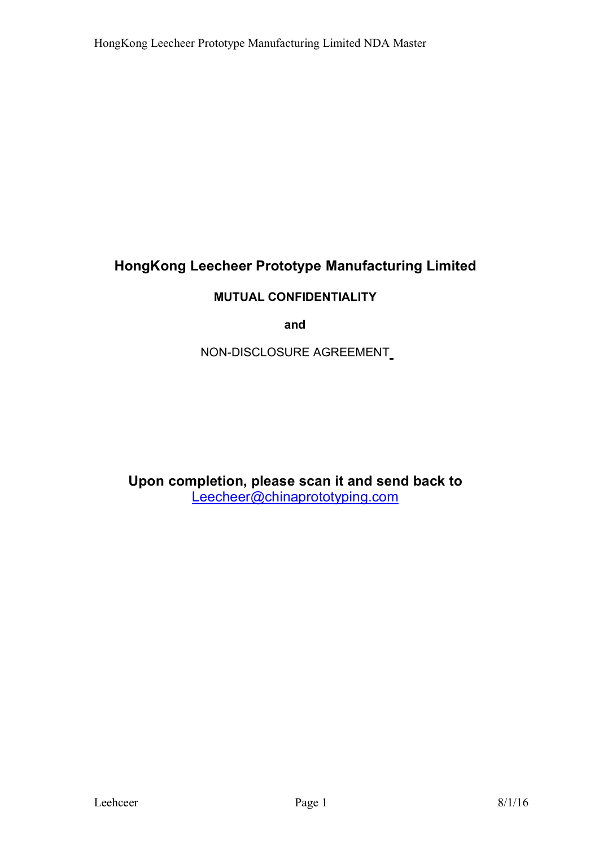# **HongKong Leecheer Prototype Manufacturing Limited**

### **MUTUAL CONFIDENTIALITY**

**and**

NON-DISCLOSURE AGREEMENT

**Upon completion, please scan it and send back to** Leecheer@chinaprototyping.com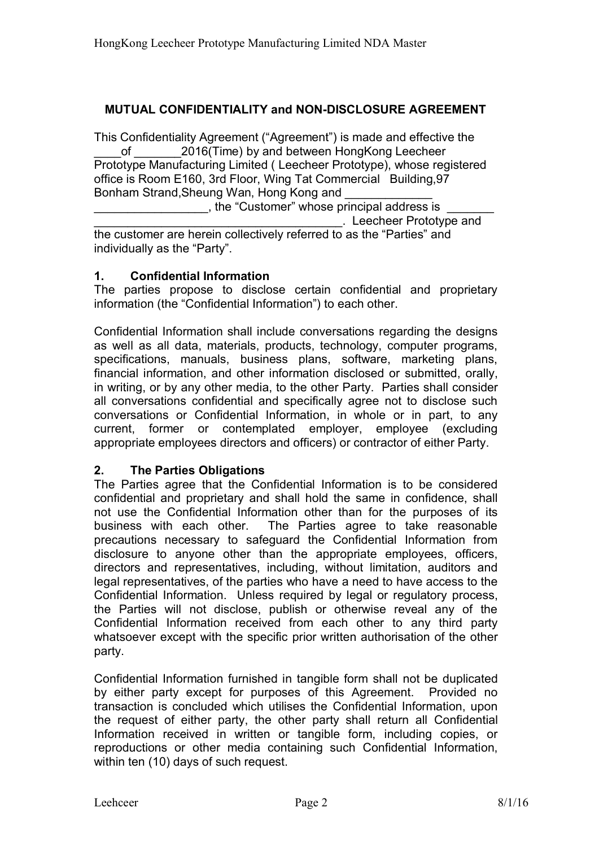### **MUTUAL CONFIDENTIALITY and NON-DISCLOSURE AGREEMENT**

This Confidentiality Agreement ("Agreement") is made and effective the of 2016(Time) by and between HongKong Leecheer Prototype Manufacturing Limited ( Leecheer Prototype), whose registered office is Room E160, 3rd Floor, Wing Tat Commercial Building,97 Bonham Strand, Sheung Wan, Hong Kong and

\_\_\_\_\_\_\_\_\_\_\_\_\_\_\_\_\_, the "Customer" whose principal address is \_\_\_\_\_\_\_

\_\_\_\_\_\_\_\_\_\_\_\_\_\_\_\_\_\_\_\_\_\_\_\_\_\_\_\_\_\_\_\_\_\_\_\_\_. Leecheer Prototype and

the customer are herein collectively referred to as the "Parties" and individually as the "Party".

### **1. Confidential Information**

The parties propose to disclose certain confidential and proprietary information (the "Confidential Information") to each other.<br>Confidential Information shall include conversations regarding the designs

as well as all data, materials, products, technology, computer programs, specifications, manuals, business plans, software, marketing plans, financial information, and other information disclosed or submitted, orally, in writing, or by any other media, to the other Party. Parties shall consider all conversations confidential and specifically agree not to disclose such conversations or Confidential Information, in whole or in part, to any current, former or contemplated employer, employee (excluding appropriate employees directors and officers) or contractor of either Party.

### **2. The Parties Obligations**

The Parties agree that the Confidential Information is to be considered confidential and proprietary and shall hold the same in confidence, shall not use the Confidential Information other than for the purposes of its business with each other. The Parties agree to take reasonable precautions necessary to safeguard the Confidential Information from disclosure to anyone other than the appropriate employees, officers, directors and representatives, including, without limitation, auditors and legal representatives, of the parties who have a need to have access to the Confidential Information. Unless required by legal or regulatory process, the Parties will not disclose, publish or otherwise reveal any of the Confidential Information received from each other to any third party whatsoever except with the specific prior written authorisation of the other party.

Confidential Information furnished in tangible form shall not be duplicated by either party except for purposes of this Agreement. Provided no transaction is concluded which utilises the Confidential Information, upon the request of either party, the other party shall return all Confidential Information received in written or tangible form, including copies, or reproductions or other media containing such Confidential Information, within ten (10) days of such request.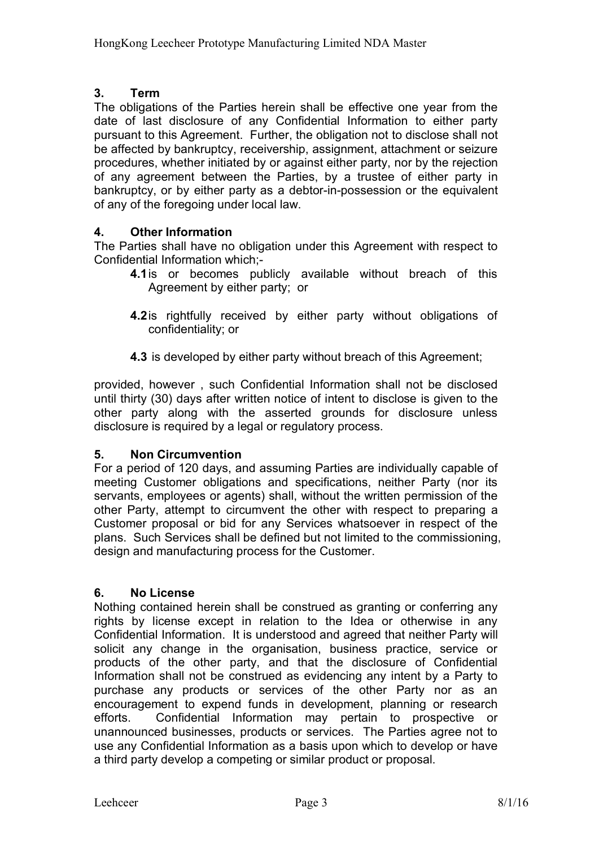### **3. Term**

The obligations of the Parties herein shall be effective one year from the date of last disclosure of any Confidential Information to either party pursuant to this Agreement. Further, the obligation not to disclose shall not be affected by bankruptcy, receivership, assignment, attachment or seizure procedures, whether initiated by or against either party, nor by the rejection of any agreement between the Parties, by a trustee of either party in bankruptcy, or by either party as a debtor-in-possession or the equivalent of any of the foregoing under local law.

### **4. Other Information**

The Parties shall have no obligation under this Agreement with respect to Confidential Information which;-

- **4.1**is or becomes publicly available without breach of this Agreement by either party; or
- **4.2**is rightfully received by either party without obligations of confidentiality; or
- **4.3** is developed by either party without breach of this Agreement;

provided, however , such Confidential Information shall not be disclosed until thirty (30) days after written notice of intent to disclose is given to the other party along with the asserted grounds for disclosure unless disclosure is required by a legal or regulatory process.

### **5. Non Circumvention**

For a period of 120 days, and assuming Parties are individually capable of meeting Customer obligations and specifications, neither Party (nor its servants, employees or agents) shall, without the written permission of the other Party, attempt to circumvent the other with respect to preparing a Customer proposal or bid for any Services whatsoever in respect of the plans. Such Services shall be defined but not limited to the commissioning. design and manufacturing process for the Customer.

### **6. No License**

Nothing contained herein shall be construed as granting or conferring any rights by license except in relation to the Idea or otherwise in any Confidential Information. It is understood and agreed that neither Party will solicit any change in the organisation, business practice, service or products of the other party, and that the disclosure of Confidential Information shall not be construed as evidencing any intent by a Party to purchase any products or services of the other Party nor as an encouragement to expend funds in development, planning or research efforts. Confidential Information may pertain to prospective or unannounced businesses, products or services. The Parties agree not to use any Confidential Information as a basis upon which to develop or have a third party develop a competing or similar product or proposal.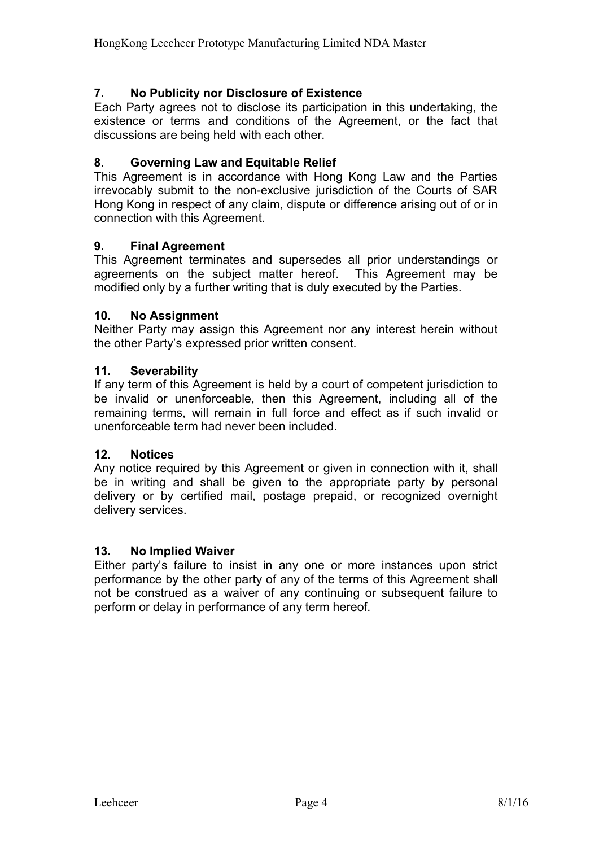### **7. No Publicity nor Disclosure of Existence**

Each Party agrees not to disclose its participation in this undertaking, the existence or terms and conditions of the Agreement, or the fact that discussions are being held with each other.

### **8. Governing Law and Equitable Relief**

This Agreement is in accordance with Hong Kong Law and the Parties irrevocably submit to the non-exclusive jurisdiction of the Courts of SAR Hong Kong in respect of any claim, dispute or difference arising out of or in connection with this Agreement.

### **9. Final Agreement**

This Agreement terminates and supersedes all prior understandings or agreements on the subject matter hereof. This Agreement may be modified only by a further writing that is duly executed by the Parties.

### **10. No Assignment**

Neither Party may assign this Agreement nor any interest herein without the other Party's expressed prior written consent.

### **11. Severability**

If any term of this Agreement is held by a court of competent jurisdiction to be invalid or unenforceable, then this Agreement, including all of the remaining terms, will remain in full force and effect as if such invalid or unenforceable term had never been included.

### **12. Notices**

Any notice required by this Agreement or given in connection with it, shall be in writing and shall be given to the appropriate party by personal delivery or by certified mail, postage prepaid, or recognized overnight delivery services.

### **13. No Implied Waiver**

Either party's failure to insist in any one or more instances upon strict performance by the other party of any of the terms of this Agreement shall not be construed as a waiver of any continuing or subsequent failure to perform or delay in performance of any term hereof.